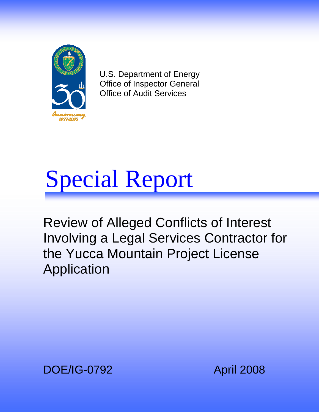

U.S. Department of Energy Office of Inspector General Office of Audit Services



Review of Alleged Conflicts of Interest Involving a Legal Services Contractor for the Yucca Mountain Project License Application

DOE/IG-0792 April 2008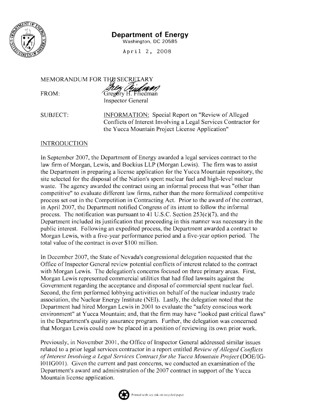

## **Department of Energy**

Washington, DC 20585

April 2, 2008

MEMORANDUM FOR THE SECRETARY

 $FROM:$ 

Thez Pridmen Gregory H. Friedman

**Inspector General** 

**SUBJECT:** 

**INFORMATION:** Special Report on "Review of Alleged" Conflicts of Interest Involving a Legal Services Contractor for the Yucca Mountain Project License Application"

## **INTRODUCTION**

In September 2007, the Department of Energy awarded a legal services contract to the law firm of Morgan, Lewis, and Bockius LLP (Morgan Lewis). The firm was to assist the Department in preparing a license application for the Yucca Mountain repository, the site selected for the disposal of the Nation's spent nuclear fuel and high-level nuclear waste. The agency awarded the contract using an informal process that was "other than competitive" to evaluate different law firms, rather than the more formalized competitive process set out in the Competition in Contracting Act. Prior to the award of the contract, in April 2007, the Department notified Congress of its intent to follow the informal process. The notification was pursuant to 41 U.S.C. Section  $253(c)(7)$ , and the Department included its justification that proceeding in this manner was necessary in the public interest. Following an expedited process, the Department awarded a contract to Morgan Lewis, with a five-year performance period and a five-year option period. The total value of the contract is over \$100 million.

In December 2007, the State of Nevada's congressional delegation requested that the Office of Inspector General review potential conflicts of interest related to the contract with Morgan Lewis. The delegation's concerns focused on three primary areas. First, Morgan Lewis represented commercial utilities that had filed lawsuits against the Government regarding the acceptance and disposal of commercial spent nuclear fuel. Second, the firm performed lobbying activities on behalf of the nuclear industry trade association, the Nuclear Energy Institute (NEI). Lastly, the delegation noted that the Department had hired Morgan Lewis in 2001 to evaluate the "safety conscious work" environment" at Yucca Mountain; and, that the firm may have "looked past critical flaws" in the Department's quality assurance program. Further, the delegation was concerned that Morgan Lewis could now be placed in a position of reviewing its own prior work.

Previously, in November 2001, the Office of Inspector General addressed similar issues related to a prior legal services contractor in a report entitled Review of Alleged Conflicts of Interest Involving a Legal Services Contract for the Yucca Mountain Project (DOE/IG-1011G001). Given the current and past concerns, we conducted an examination of the Department's award and administration of the 2007 contract in support of the Yucca Mountain license application.

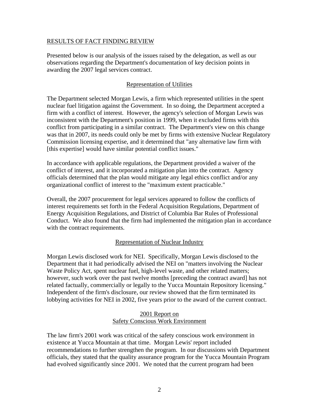#### RESULTS OF FACT FINDING REVIEW

Presented below is our analysis of the issues raised by the delegation, as well as our observations regarding the Department's documentation of key decision points in awarding the 2007 legal services contract.

#### Representation of Utilities

The Department selected Morgan Lewis, a firm which represented utilities in the spent nuclear fuel litigation against the Government. In so doing, the Department accepted a firm with a conflict of interest. However, the agency's selection of Morgan Lewis was inconsistent with the Department's position in 1999, when it excluded firms with this conflict from participating in a similar contract. The Department's view on this change was that in 2007, its needs could only be met by firms with extensive Nuclear Regulatory Commission licensing expertise, and it determined that "any alternative law firm with [this expertise] would have similar potential conflict issues."

In accordance with applicable regulations, the Department provided a waiver of the conflict of interest, and it incorporated a mitigation plan into the contract. Agency officials determined that the plan would mitigate any legal ethics conflict and/or any organizational conflict of interest to the "maximum extent practicable."

Overall, the 2007 procurement for legal services appeared to follow the conflicts of interest requirements set forth in the Federal Acquisition Regulations, Department of Energy Acquisition Regulations, and District of Columbia Bar Rules of Professional Conduct. We also found that the firm had implemented the mitigation plan in accordance with the contract requirements.

#### Representation of Nuclear Industry

Morgan Lewis disclosed work for NEI. Specifically, Morgan Lewis disclosed to the Department that it had periodically advised the NEI on "matters involving the Nuclear Waste Policy Act, spent nuclear fuel, high-level waste, and other related matters; however, such work over the past twelve months [preceding the contract award] has not related factually, commercially or legally to the Yucca Mountain Repository licensing." Independent of the firm's disclosure, our review showed that the firm terminated its lobbying activities for NEI in 2002, five years prior to the award of the current contract.

#### 2001 Report on Safety Conscious Work Environment

The law firm's 2001 work was critical of the safety conscious work environment in existence at Yucca Mountain at that time. Morgan Lewis' report included recommendations to further strengthen the program. In our discussions with Department officials, they stated that the quality assurance program for the Yucca Mountain Program had evolved significantly since 2001. We noted that the current program had been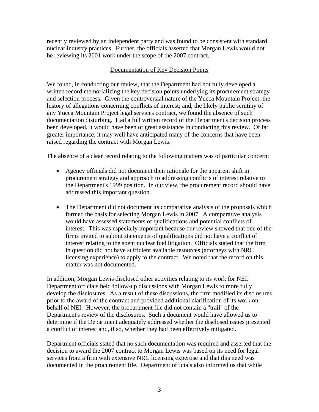recently reviewed by an independent party and was found to be consistent with standard nuclear industry practices. Further, the officials asserted that Morgan Lewis would not be reviewing its 2001 work under the scope of the 2007 contract.

### Documentation of Key Decision Points

We found, in conducting our review, that the Department had not fully developed a written record memorializing the key decision points underlying its procurement strategy and selection process. Given the controversial nature of the Yucca Mountain Project; the history of allegations concerning conflicts of interest; and, the likely public scrutiny of any Yucca Mountain Project legal services contract, we found the absence of such documentation disturbing. Had a full written record of the Department's decision process been developed, it would have been of great assistance in conducting this review. Of far greater importance, it may well have anticipated many of the concerns that have been raised regarding the contract with Morgan Lewis.

The absence of a clear record relating to the following matters was of particular concern:

- Agency officials did not document their rationale for the apparent shift in procurement strategy and approach to addressing conflicts of interest relative to the Department's 1999 position. In our view, the procurement record should have addressed this important question.
- The Department did not document its comparative analysis of the proposals which formed the basis for selecting Morgan Lewis in 2007. A comparative analysis would have assessed statements of qualifications and potential conflicts of interest. This was especially important because our review showed that one of the firms invited to submit statements of qualifications did not have a conflict of interest relating to the spent nuclear fuel litigation. Officials stated that the firm in question did not have sufficient available resources (attorneys with NRC licensing experience) to apply to the contract. We noted that the record on this matter was not documented.

In addition, Morgan Lewis disclosed other activities relating to its work for NEI. Department officials held follow-up discussions with Morgan Lewis to more fully develop the disclosures. As a result of these discussions, the firm modified its disclosures prior to the award of the contract and provided additional clarification of its work on behalf of NEI. However, the procurement file did not contain a "trail" of the Department's review of the disclosures. Such a document would have allowed us to determine if the Department adequately addressed whether the disclosed issues presented a conflict of interest and, if so, whether they had been effectively mitigated.

Department officials stated that no such documentation was required and asserted that the decision to award the 2007 contract to Morgan Lewis was based on its need for legal services from a firm with extensive NRC licensing expertise and that this need was documented in the procurement file. Department officials also informed us that while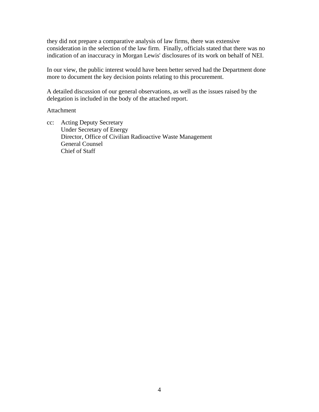they did not prepare a comparative analysis of law firms, there was extensive consideration in the selection of the law firm. Finally, officials stated that there was no indication of an inaccuracy in Morgan Lewis' disclosures of its work on behalf of NEI.

In our view, the public interest would have been better served had the Department done more to document the key decision points relating to this procurement.

A detailed discussion of our general observations, as well as the issues raised by the delegation is included in the body of the attached report.

#### Attachment

cc: Acting Deputy Secretary Under Secretary of Energy Director, Office of Civilian Radioactive Waste Management General Counsel Chief of Staff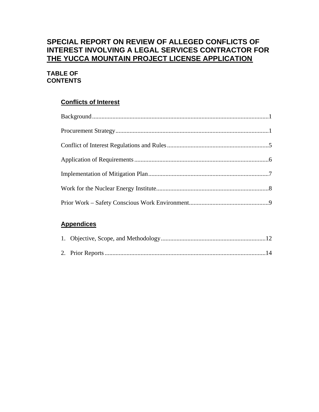# **SPECIAL REPORT ON REVIEW OF ALLEGED CONFLICTS OF INTEREST INVOLVING A LEGAL SERVICES CONTRACTOR FOR THE YUCCA MOUNTAIN PROJECT LICENSE APPLICATION**

## **TABLE OF CONTENTS**

# **Conflicts of Interest**

# **Appendices**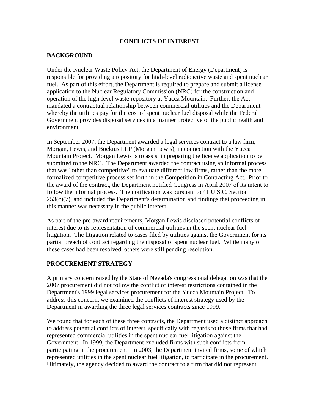### **CONFLICTS OF INTEREST**

#### **BACKGROUND**

Under the Nuclear Waste Policy Act, the Department of Energy (Department) is responsible for providing a repository for high-level radioactive waste and spent nuclear fuel. As part of this effort, the Department is required to prepare and submit a license application to the Nuclear Regulatory Commission (NRC) for the construction and operation of the high-level waste repository at Yucca Mountain. Further, the Act mandated a contractual relationship between commercial utilities and the Department whereby the utilities pay for the cost of spent nuclear fuel disposal while the Federal Government provides disposal services in a manner protective of the public health and environment.

In September 2007, the Department awarded a legal services contract to a law firm, Morgan, Lewis, and Bockius LLP (Morgan Lewis), in connection with the Yucca Mountain Project. Morgan Lewis is to assist in preparing the license application to be submitted to the NRC. The Department awarded the contract using an informal process that was "other than competitive" to evaluate different law firms, rather than the more formalized competitive process set forth in the Competition in Contracting Act. Prior to the award of the contract, the Department notified Congress in April 2007 of its intent to follow the informal process. The notification was pursuant to 41 U.S.C. Section  $253(c)(7)$ , and included the Department's determination and findings that proceeding in this manner was necessary in the public interest.

As part of the pre-award requirements, Morgan Lewis disclosed potential conflicts of interest due to its representation of commercial utilities in the spent nuclear fuel litigation. The litigation related to cases filed by utilities against the Government for its partial breach of contract regarding the disposal of spent nuclear fuel. While many of these cases had been resolved, others were still pending resolution.

#### **PROCUREMENT STRATEGY**

A primary concern raised by the State of Nevada's congressional delegation was that the 2007 procurement did not follow the conflict of interest restrictions contained in the Department's 1999 legal services procurement for the Yucca Mountain Project. To address this concern, we examined the conflicts of interest strategy used by the Department in awarding the three legal services contracts since 1999.

We found that for each of these three contracts, the Department used a distinct approach to address potential conflicts of interest, specifically with regards to those firms that had represented commercial utilities in the spent nuclear fuel litigation against the Government. In 1999, the Department excluded firms with such conflicts from participating in the procurement. In 2003, the Department invited firms, some of which represented utilities in the spent nuclear fuel litigation, to participate in the procurement. Ultimately, the agency decided to award the contract to a firm that did not represent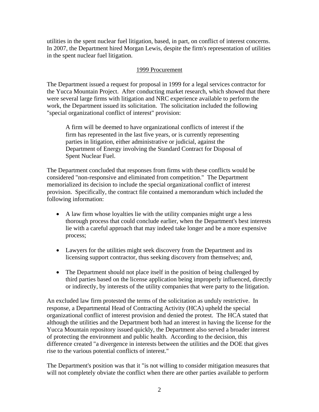utilities in the spent nuclear fuel litigation, based, in part, on conflict of interest concerns. In 2007, the Department hired Morgan Lewis, despite the firm's representation of utilities in the spent nuclear fuel litigation.

#### 1999 Procurement

The Department issued a request for proposal in 1999 for a legal services contractor for the Yucca Mountain Project. After conducting market research, which showed that there were several large firms with litigation and NRC experience available to perform the work, the Department issued its solicitation. The solicitation included the following "special organizational conflict of interest" provision:

A firm will be deemed to have organizational conflicts of interest if the firm has represented in the last five years, or is currently representing parties in litigation, either administrative or judicial, against the Department of Energy involving the Standard Contract for Disposal of Spent Nuclear Fuel.

The Department concluded that responses from firms with these conflicts would be considered "non-responsive and eliminated from competition." The Department memorialized its decision to include the special organizational conflict of interest provision. Specifically, the contract file contained a memorandum which included the following information:

- A law firm whose loyalties lie with the utility companies might urge a less thorough process that could conclude earlier, when the Department's best interests lie with a careful approach that may indeed take longer and be a more expensive process;
- Lawyers for the utilities might seek discovery from the Department and its licensing support contractor, thus seeking discovery from themselves; and,
- The Department should not place itself in the position of being challenged by third parties based on the license application being improperly influenced, directly or indirectly, by interests of the utility companies that were party to the litigation.

An excluded law firm protested the terms of the solicitation as unduly restrictive. In response, a Departmental Head of Contracting Activity (HCA) upheld the special organizational conflict of interest provision and denied the protest. The HCA stated that although the utilities and the Department both had an interest in having the license for the Yucca Mountain repository issued quickly, the Department also served a broader interest of protecting the environment and public health. According to the decision, this difference created "a divergence in interests between the utilities and the DOE that gives rise to the various potential conflicts of interest."

The Department's position was that it "is not willing to consider mitigation measures that will not completely obviate the conflict when there are other parties available to perform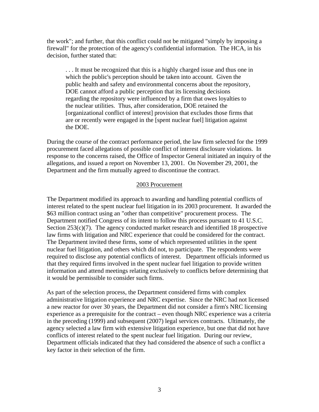the work"; and further, that this conflict could not be mitigated "simply by imposing a firewall" for the protection of the agency's confidential information. The HCA, in his decision, further stated that:

. . . It must be recognized that this is a highly charged issue and thus one in which the public's perception should be taken into account. Given the public health and safety and environmental concerns about the repository, DOE cannot afford a public perception that its licensing decisions regarding the repository were influenced by a firm that owes loyalties to the nuclear utilities. Thus, after consideration, DOE retained the [organizational conflict of interest] provision that excludes those firms that are or recently were engaged in the [spent nuclear fuel] litigation against the DOE.

During the course of the contract performance period, the law firm selected for the 1999 procurement faced allegations of possible conflict of interest disclosure violations. In response to the concerns raised, the Office of Inspector General initiated an inquiry of the allegations, and issued a report on November 13, 2001. On November 29, 2001, the Department and the firm mutually agreed to discontinue the contract.

#### 2003 Procurement

The Department modified its approach to awarding and handling potential conflicts of interest related to the spent nuclear fuel litigation in its 2003 procurement. It awarded the \$63 million contract using an "other than competitive" procurement process. The Department notified Congress of its intent to follow this process pursuant to 41 U.S.C. Section  $253(c)(7)$ . The agency conducted market research and identified 18 prospective law firms with litigation and NRC experience that could be considered for the contract. The Department invited these firms, some of which represented utilities in the spent nuclear fuel litigation, and others which did not, to participate. The respondents were required to disclose any potential conflicts of interest. Department officials informed us that they required firms involved in the spent nuclear fuel litigation to provide written information and attend meetings relating exclusively to conflicts before determining that it would be permissible to consider such firms.

As part of the selection process, the Department considered firms with complex administrative litigation experience and NRC expertise. Since the NRC had not licensed a new reactor for over 30 years, the Department did not consider a firm's NRC licensing experience as a prerequisite for the contract – even though NRC experience was a criteria in the preceding (1999) and subsequent (2007) legal services contracts. Ultimately, the agency selected a law firm with extensive litigation experience, but one that did not have conflicts of interest related to the spent nuclear fuel litigation. During our review, Department officials indicated that they had considered the absence of such a conflict a key factor in their selection of the firm.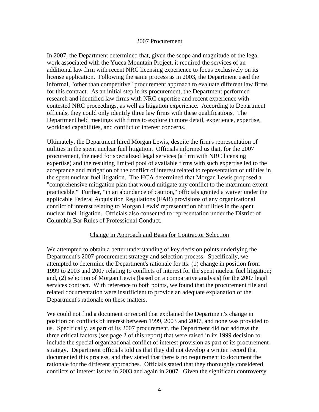#### 2007 Procurement

In 2007, the Department determined that, given the scope and magnitude of the legal work associated with the Yucca Mountain Project, it required the services of an additional law firm with recent NRC licensing experience to focus exclusively on its license application. Following the same process as in 2003, the Department used the informal, "other than competitive" procurement approach to evaluate different law firms for this contract. As an initial step in its procurement, the Department performed research and identified law firms with NRC expertise and recent experience with contested NRC proceedings, as well as litigation experience. According to Department officials, they could only identify three law firms with these qualifications. The Department held meetings with firms to explore in more detail, experience, expertise, workload capabilities, and conflict of interest concerns.

Ultimately, the Department hired Morgan Lewis, despite the firm's representation of utilities in the spent nuclear fuel litigation. Officials informed us that, for the 2007 procurement, the need for specialized legal services (a firm with NRC licensing expertise) and the resulting limited pool of available firms with such expertise led to the acceptance and mitigation of the conflict of interest related to representation of utilities in the spent nuclear fuel litigation. The HCA determined that Morgan Lewis proposed a "comprehensive mitigation plan that would mitigate any conflict to the maximum extent practicable." Further, "in an abundance of caution," officials granted a waiver under the applicable Federal Acquisition Regulations (FAR) provisions of any organizational conflict of interest relating to Morgan Lewis' representation of utilities in the spent nuclear fuel litigation. Officials also consented to representation under the District of Columbia Bar Rules of Professional Conduct.

#### Change in Approach and Basis for Contractor Selection

We attempted to obtain a better understanding of key decision points underlying the Department's 2007 procurement strategy and selection process. Specifically, we attempted to determine the Department's rationale for its: (1) change in position from 1999 to 2003 and 2007 relating to conflicts of interest for the spent nuclear fuel litigation; and, (2) selection of Morgan Lewis (based on a comparative analysis) for the 2007 legal services contract. With reference to both points, we found that the procurement file and related documentation were insufficient to provide an adequate explanation of the Department's rationale on these matters.

We could not find a document or record that explained the Department's change in position on conflicts of interest between 1999, 2003 and 2007, and none was provided to us. Specifically, as part of its 2007 procurement, the Department did not address the three critical factors (see page 2 of this report) that were raised in its 1999 decision to include the special organizational conflict of interest provision as part of its procurement strategy. Department officials told us that they did not develop a written record that documented this process, and they stated that there is no requirement to document the rationale for the different approaches. Officials stated that they thoroughly considered conflicts of interest issues in 2003 and again in 2007. Given the significant controversy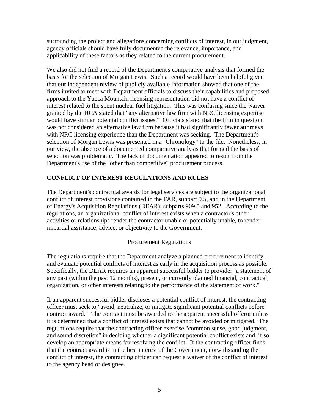surrounding the project and allegations concerning conflicts of interest, in our judgment, agency officials should have fully documented the relevance, importance, and applicability of these factors as they related to the current procurement.

We also did not find a record of the Department's comparative analysis that formed the basis for the selection of Morgan Lewis. Such a record would have been helpful given that our independent review of publicly available information showed that one of the firms invited to meet with Department officials to discuss their capabilities and proposed approach to the Yucca Mountain licensing representation did not have a conflict of interest related to the spent nuclear fuel litigation. This was confusing since the waiver granted by the HCA stated that "any alternative law firm with NRC licensing expertise would have similar potential conflict issues." Officials stated that the firm in question was not considered an alternative law firm because it had significantly fewer attorneys with NRC licensing experience than the Department was seeking. The Department's selection of Morgan Lewis was presented in a "Chronology" to the file. Nonetheless, in our view, the absence of a documented comparative analysis that formed the basis of selection was problematic. The lack of documentation appeared to result from the Department's use of the "other than competitive" procurement process.

## **CONFLICT OF INTEREST REGULATIONS AND RULES**

The Department's contractual awards for legal services are subject to the organizational conflict of interest provisions contained in the FAR, subpart 9.5, and in the Department of Energy's Acquisition Regulations (DEAR), subparts 909.5 and 952. According to the regulations, an organizational conflict of interest exists when a contractor's other activities or relationships render the contractor unable or potentially unable, to render impartial assistance, advice, or objectivity to the Government.

### Procurement Regulations

The regulations require that the Department analyze a planned procurement to identify and evaluate potential conflicts of interest as early in the acquisition process as possible. Specifically, the DEAR requires an apparent successful bidder to provide: "a statement of any past (within the past 12 months), present, or currently planned financial, contractual, organization, or other interests relating to the performance of the statement of work."

If an apparent successful bidder discloses a potential conflict of interest, the contracting officer must seek to "avoid, neutralize, or mitigate significant potential conflicts before contract award." The contract must be awarded to the apparent successful offeror unless it is determined that a conflict of interest exists that cannot be avoided or mitigated. The regulations require that the contracting officer exercise "common sense, good judgment, and sound discretion" in deciding whether a significant potential conflict exists and, if so, develop an appropriate means for resolving the conflict. If the contracting officer finds that the contract award is in the best interest of the Government, notwithstanding the conflict of interest, the contracting officer can request a waiver of the conflict of interest to the agency head or designee.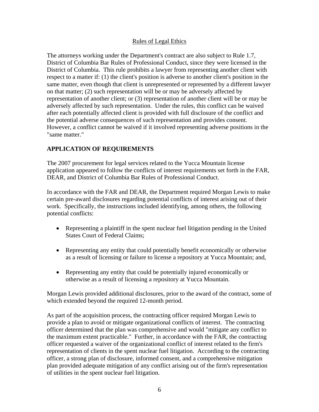### Rules of Legal Ethics

The attorneys working under the Department's contract are also subject to Rule 1.7, District of Columbia Bar Rules of Professional Conduct, since they were licensed in the District of Columbia. This rule prohibits a lawyer from representing another client with respect to a matter if: (1) the client's position is adverse to another client's position in the same matter, even though that client is unrepresented or represented by a different lawyer on that matter; (2) such representation will be or may be adversely affected by representation of another client; or (3) representation of another client will be or may be adversely affected by such representation. Under the rules, this conflict can be waived after each potentially affected client is provided with full disclosure of the conflict and the potential adverse consequences of such representation and provides consent. However, a conflict cannot be waived if it involved representing adverse positions in the "same matter."

## **APPLICATION OF REQUIREMENTS**

The 2007 procurement for legal services related to the Yucca Mountain license application appeared to follow the conflicts of interest requirements set forth in the FAR, DEAR, and District of Columbia Bar Rules of Professional Conduct.

In accordance with the FAR and DEAR, the Department required Morgan Lewis to make certain pre-award disclosures regarding potential conflicts of interest arising out of their work. Specifically, the instructions included identifying, among others, the following potential conflicts:

- Representing a plaintiff in the spent nuclear fuel litigation pending in the United States Court of Federal Claims;
- Representing any entity that could potentially benefit economically or otherwise as a result of licensing or failure to license a repository at Yucca Mountain; and,
- Representing any entity that could be potentially injured economically or otherwise as a result of licensing a repository at Yucca Mountain.

Morgan Lewis provided additional disclosures, prior to the award of the contract, some of which extended beyond the required 12-month period.

As part of the acquisition process, the contracting officer required Morgan Lewis to provide a plan to avoid or mitigate organizational conflicts of interest. The contracting officer determined that the plan was comprehensive and would "mitigate any conflict to the maximum extent practicable." Further, in accordance with the FAR, the contracting officer requested a waiver of the organizational conflict of interest related to the firm's representation of clients in the spent nuclear fuel litigation. According to the contracting officer, a strong plan of disclosure, informed consent, and a comprehensive mitigation plan provided adequate mitigation of any conflict arising out of the firm's representation of utilities in the spent nuclear fuel litigation.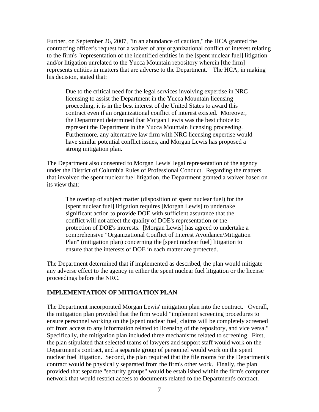Further, on September 26, 2007, "in an abundance of caution," the HCA granted the contracting officer's request for a waiver of any organizational conflict of interest relating to the firm's "representation of the identified entities in the [spent nuclear fuel] litigation and/or litigation unrelated to the Yucca Mountain repository wherein [the firm] represents entities in matters that are adverse to the Department." The HCA, in making his decision, stated that:

Due to the critical need for the legal services involving expertise in NRC licensing to assist the Department in the Yucca Mountain licensing proceeding, it is in the best interest of the United States to award this contract even if an organizational conflict of interest existed. Moreover, the Department determined that Morgan Lewis was the best choice to represent the Department in the Yucca Mountain licensing proceeding. Furthermore, any alternative law firm with NRC licensing expertise would have similar potential conflict issues, and Morgan Lewis has proposed a strong mitigation plan.

The Department also consented to Morgan Lewis' legal representation of the agency under the District of Columbia Rules of Professional Conduct. Regarding the matters that involved the spent nuclear fuel litigation, the Department granted a waiver based on its view that:

The overlap of subject matter (disposition of spent nuclear fuel) for the [spent nuclear fuel] litigation requires [Morgan Lewis] to undertake significant action to provide DOE with sufficient assurance that the conflict will not affect the quality of DOE's representation or the protection of DOE's interests. [Morgan Lewis] has agreed to undertake a comprehensive "Organizational Conflict of Interest Avoidance/Mitigation Plan" (mitigation plan) concerning the [spent nuclear fuel] litigation to ensure that the interests of DOE in each matter are protected.

The Department determined that if implemented as described, the plan would mitigate any adverse effect to the agency in either the spent nuclear fuel litigation or the license proceedings before the NRC.

#### **IMPLEMENTATION OF MITIGATION PLAN**

The Department incorporated Morgan Lewis' mitigation plan into the contract. Overall, the mitigation plan provided that the firm would "implement screening procedures to ensure personnel working on the [spent nuclear fuel] claims will be completely screened off from access to any information related to licensing of the repository, and vice versa." Specifically, the mitigation plan included three mechanisms related to screening. First, the plan stipulated that selected teams of lawyers and support staff would work on the Department's contract, and a separate group of personnel would work on the spent nuclear fuel litigation. Second, the plan required that the file rooms for the Department's contract would be physically separated from the firm's other work. Finally, the plan provided that separate "security groups" would be established within the firm's computer network that would restrict access to documents related to the Department's contract.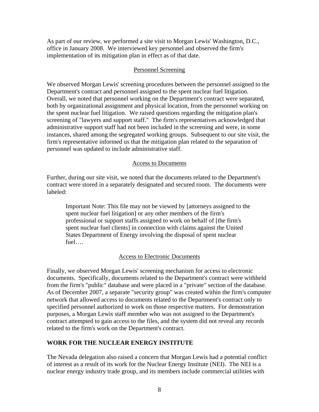As part of our review, we performed a site visit to Morgan Lewis' Washington, D.C., office in January 2008. We interviewed key personnel and observed the firm's implementation of its mitigation plan in effect as of that date.

#### Personnel Screening

We observed Morgan Lewis' screening procedures between the personnel assigned to the Department's contract and personnel assigned to the spent nuclear fuel litigation. Overall, we noted that personnel working on the Department's contract were separated, both by organizational assignment and physical location, from the personnel working on the spent nuclear fuel litigation. We raised questions regarding the mitigation plan's screening of "lawyers and support staff." The firm's representatives acknowledged that administrative support staff had not been included in the screening and were, in some instances, shared among the segregated working groups. Subsequent to our site visit, the firm's representative informed us that the mitigation plan related to the separation of personnel was updated to include administrative staff.

#### Access to Documents

Further, during our site visit, we noted that the documents related to the Department's contract were stored in a separately designated and secured room. The documents were labeled:

Important Note: This file may not be viewed by [attorneys assigned to the spent nuclear fuel litigation] or any other members of the firm's professional or support staffs assigned to work on behalf of [the firm's spent nuclear fuel clients] in connection with claims against the United States Department of Energy involving the disposal of spent nuclear fuel….

### Access to Electronic Documents

Finally, we observed Morgan Lewis' screening mechanism for access to electronic documents. Specifically, documents related to the Department's contract were withheld from the firm's "public" database and were placed in a "private" section of the database. As of December 2007, a separate "security group" was created within the firm's computer network that allowed access to documents related to the Department's contract only to specified personnel authorized to work on those respective matters. For demonstration purposes, a Morgan Lewis staff member who was not assigned to the Department's contract attempted to gain access to the files, and the system did not reveal any records related to the firm's work on the Department's contract.

### **WORK FOR THE NUCLEAR ENERGY INSTITUTE**

The Nevada delegation also raised a concern that Morgan Lewis had a potential conflict of interest as a result of its work for the Nuclear Energy Institute (NEI). The NEI is a nuclear energy industry trade group, and its members include commercial utilities with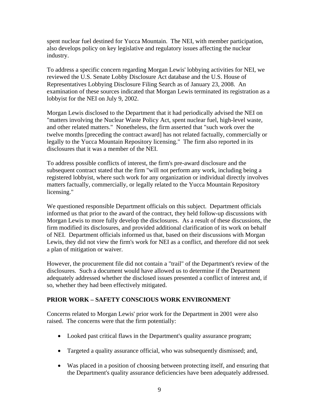spent nuclear fuel destined for Yucca Mountain. The NEI, with member participation, also develops policy on key legislative and regulatory issues affecting the nuclear industry.

To address a specific concern regarding Morgan Lewis' lobbying activities for NEI, we reviewed the U.S. Senate Lobby Disclosure Act database and the U.S. House of Representatives Lobbying Disclosure Filing Search as of January 23, 2008. An examination of these sources indicated that Morgan Lewis terminated its registration as a lobbyist for the NEI on July 9, 2002.

Morgan Lewis disclosed to the Department that it had periodically advised the NEI on "matters involving the Nuclear Waste Policy Act, spent nuclear fuel, high-level waste, and other related matters." Nonetheless, the firm asserted that "such work over the twelve months [preceding the contract award] has not related factually, commercially or legally to the Yucca Mountain Repository licensing." The firm also reported in its disclosures that it was a member of the NEI.

To address possible conflicts of interest, the firm's pre-award disclosure and the subsequent contract stated that the firm "will not perform any work, including being a registered lobbyist, where such work for any organization or individual directly involves matters factually, commercially, or legally related to the Yucca Mountain Repository licensing."

We questioned responsible Department officials on this subject. Department officials informed us that prior to the award of the contract, they held follow-up discussions with Morgan Lewis to more fully develop the disclosures. As a result of these discussions, the firm modified its disclosures, and provided additional clarification of its work on behalf of NEI. Department officials informed us that, based on their discussions with Morgan Lewis, they did not view the firm's work for NEI as a conflict, and therefore did not seek a plan of mitigation or waiver.

However, the procurement file did not contain a "trail" of the Department's review of the disclosures. Such a document would have allowed us to determine if the Department adequately addressed whether the disclosed issues presented a conflict of interest and, if so, whether they had been effectively mitigated.

### **PRIOR WORK – SAFETY CONSCIOUS WORK ENVIRONMENT**

Concerns related to Morgan Lewis' prior work for the Department in 2001 were also raised. The concerns were that the firm potentially:

- Looked past critical flaws in the Department's quality assurance program;
- Targeted a quality assurance official, who was subsequently dismissed; and,
- Was placed in a position of choosing between protecting itself, and ensuring that the Department's quality assurance deficiencies have been adequately addressed.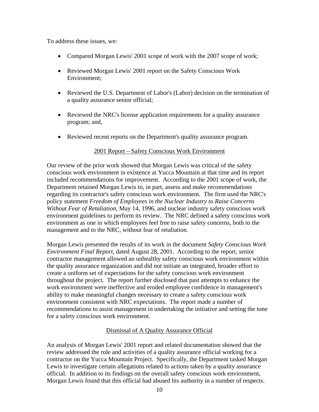To address these issues, we:

- Compared Morgan Lewis' 2001 scope of work with the 2007 scope of work;
- Reviewed Morgan Lewis' 2001 report on the Safety Conscious Work Environment;
- Reviewed the U.S. Department of Labor's (Labor) decision on the termination of a quality assurance senior official;
- Reviewed the NRC's license application requirements for a quality assurance program; and,
- Reviewed recent reports on the Department's quality assurance program.

#### 2001 Report – Safety Conscious Work Environment

Our review of the prior work showed that Morgan Lewis was critical of the safety conscious work environment in existence at Yucca Mountain at that time and its report included recommendations for improvement. According to the 2001 scope of work, the Department retained Morgan Lewis to, in part, assess and make recommendations regarding its contractor's safety conscious work environment. The firm used the NRC's policy statement *Freedom of Employees in the Nuclear Industry to Raise Concerns Without Fear of Retaliation*, May 14, 1996, and nuclear industry safety conscious work environment guidelines to perform its review. The NRC defined a safety conscious work environment as one in which employees feel free to raise safety concerns, both to the management and to the NRC, without fear of retaliation.

Morgan Lewis presented the results of its work in the document *Safety Conscious Work Environment Final Report*, dated August 28, 2001. According to the report, senior contractor management allowed an unhealthy safety conscious work environment within the quality assurance organization and did not initiate an integrated, broader effort to create a uniform set of expectations for the safety conscious work environment throughout the project. The report further disclosed that past attempts to enhance the work environment were ineffective and eroded employee confidence in management's ability to make meaningful changes necessary to create a safety conscious work environment consistent with NRC expectations. The report made a number of recommendations to assist management in undertaking the initiative and setting the tone for a safety conscious work environment.

### Dismissal of A Quality Assurance Official

An analysis of Morgan Lewis' 2001 report and related documentation showed that the review addressed the role and activities of a quality assurance official working for a contractor on the Yucca Mountain Project. Specifically, the Department tasked Morgan Lewis to investigate certain allegations related to actions taken by a quality assurance official. In addition to its findings on the overall safety conscious work environment, Morgan Lewis found that this official had abused his authority in a number of respects.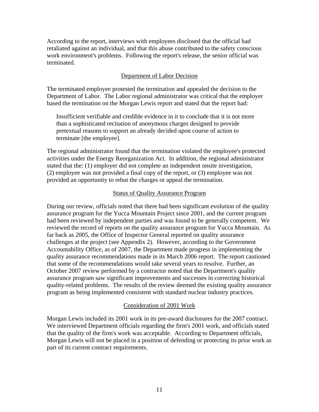According to the report, interviews with employees disclosed that the official had retaliated against an individual, and that this abuse contributed to the safety conscious work environment's problems. Following the report's release, the senior official was terminated.

### Department of Labor Decision

The terminated employee protested the termination and appealed the decision to the Department of Labor. The Labor regional administrator was critical that the employer based the termination on the Morgan Lewis report and stated that the report had:

Insufficient verifiable and credible evidence in it to conclude that it is not more than a sophisticated recitation of anonymous charges designed to provide pretextual reasons to support an already decided upon course of action to terminate [the employee].

The regional administrator found that the termination violated the employee's protected activities under the Energy Reorganization Act. In addition, the regional administrator stated that the: (1) employer did not complete an independent onsite investigation, (2) employee was not provided a final copy of the report, or (3) employee was not provided an opportunity to rebut the charges or appeal the termination.

#### Status of Quality Assurance Program

During our review, officials noted that there had been significant evolution of the quality assurance program for the Yucca Mountain Project since 2001, and the current program had been reviewed by independent parties and was found to be generally competent. We reviewed the record of reports on the quality assurance program for Yucca Mountain. As far back as 2005, the Office of Inspector General reported on quality assurance challenges at the project (see Appendix 2). However, according to the Government Accountability Office, as of 2007, the Department made progress in implementing the quality assurance recommendations made in its March 2006 report. The report cautioned that some of the recommendations would take several years to resolve. Further, an October 2007 review performed by a contractor noted that the Department's quality assurance program saw significant improvements and successes in correcting historical quality-related problems. The results of the review deemed the existing quality assurance program as being implemented consistent with standard nuclear industry practices.

#### Consideration of 2001 Work

Morgan Lewis included its 2001 work in its pre-award disclosures for the 2007 contract. We interviewed Department officials regarding the firm's 2001 work, and officials stated that the quality of the firm's work was acceptable. According to Department officials, Morgan Lewis will not be placed in a position of defending or protecting its prior work as part of its current contract requirements.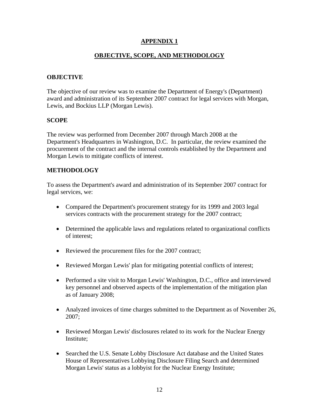## **APPENDIX 1**

## **OBJECTIVE, SCOPE, AND METHODOLOGY**

## **OBJECTIVE**

The objective of our review was to examine the Department of Energy's (Department) award and administration of its September 2007 contract for legal services with Morgan, Lewis, and Bockius LLP (Morgan Lewis).

## **SCOPE**

The review was performed from December 2007 through March 2008 at the Department's Headquarters in Washington, D.C. In particular, the review examined the procurement of the contract and the internal controls established by the Department and Morgan Lewis to mitigate conflicts of interest.

## **METHODOLOGY**

To assess the Department's award and administration of its September 2007 contract for legal services, we:

- Compared the Department's procurement strategy for its 1999 and 2003 legal services contracts with the procurement strategy for the 2007 contract;
- Determined the applicable laws and regulations related to organizational conflicts of interest;
- Reviewed the procurement files for the 2007 contract;
- Reviewed Morgan Lewis' plan for mitigating potential conflicts of interest;
- Performed a site visit to Morgan Lewis' Washington, D.C., office and interviewed key personnel and observed aspects of the implementation of the mitigation plan as of January 2008;
- Analyzed invoices of time charges submitted to the Department as of November 26, 2007;
- Reviewed Morgan Lewis' disclosures related to its work for the Nuclear Energy Institute;
- Searched the U.S. Senate Lobby Disclosure Act database and the United States House of Representatives Lobbying Disclosure Filing Search and determined Morgan Lewis' status as a lobbyist for the Nuclear Energy Institute;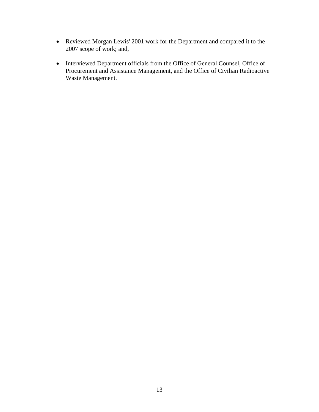- Reviewed Morgan Lewis' 2001 work for the Department and compared it to the 2007 scope of work; and,
- Interviewed Department officials from the Office of General Counsel, Office of Procurement and Assistance Management, and the Office of Civilian Radioactive Waste Management.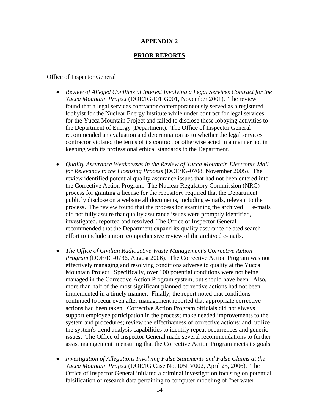### **APPENDIX 2**

#### **PRIOR REPORTS**

#### Office of Inspector General

- *Review of Alleged Conflicts of Interest Involving a Legal Services Contract for the Yucca Mountain Project* (DOE/IG-I01IG001, November 2001). The review found that a legal services contractor contemporaneously served as a registered lobbyist for the Nuclear Energy Institute while under contract for legal services for the Yucca Mountain Project and failed to disclose these lobbying activities to the Department of Energy (Department). The Office of Inspector General recommended an evaluation and determination as to whether the legal services contractor violated the terms of its contract or otherwise acted in a manner not in keeping with its professional ethical standards to the Department.
- *Quality Assurance Weaknesses in the Review of Yucca Mountain Electronic Mail for Relevancy to the Licensing Process* (DOE/IG-0708, November 2005). The review identified potential quality assurance issues that had not been entered into the Corrective Action Program. The Nuclear Regulatory Commission (NRC) process for granting a license for the repository required that the Department publicly disclose on a website all documents, including e-mails, relevant to the process. The review found that the process for examining the archived e-mails did not fully assure that quality assurance issues were promptly identified, investigated, reported and resolved. The Office of Inspector General recommended that the Department expand its quality assurance-related search effort to include a more comprehensive review of the archived e-mails.
- *The Office of Civilian Radioactive Waste Management's Corrective Action Program* (DOE/IG-0736, August 2006). The Corrective Action Program was not effectively managing and resolving conditions adverse to quality at the Yucca Mountain Project. Specifically, over 100 potential conditions were not being managed in the Corrective Action Program system, but should have been. Also, more than half of the most significant planned corrective actions had not been implemented in a timely manner. Finally, the report noted that conditions continued to recur even after management reported that appropriate corrective actions had been taken. Corrective Action Program officials did not always support employee participation in the process; make needed improvements to the system and procedures; review the effectiveness of corrective actions; and, utilize the system's trend analysis capabilities to identify repeat occurrences and generic issues. The Office of Inspector General made several recommendations to further assist management in ensuring that the Corrective Action Program meets its goals.
- *Investigation of Allegations Involving False Statements and False Claims at the Yucca Mountain Project* (DOE/IG Case No. I05LV002, April 25, 2006). The Office of Inspector General initiated a criminal investigation focusing on potential falsification of research data pertaining to computer modeling of "net water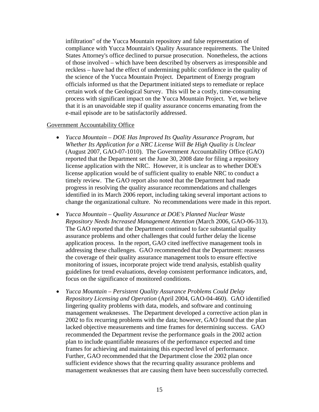infiltration" of the Yucca Mountain repository and false representation of compliance with Yucca Mountain's Quality Assurance requirements. The United States Attorney's office declined to pursue prosecution. Nonetheless, the actions of those involved – which have been described by observers as irresponsible and reckless – have had the effect of undermining public confidence in the quality of the science of the Yucca Mountain Project. Department of Energy program officials informed us that the Department initiated steps to remediate or replace certain work of the Geological Survey. This will be a costly, time-consuming process with significant impact on the Yucca Mountain Project. Yet, we believe that it is an unavoidable step if quality assurance concerns emanating from the e-mail episode are to be satisfactorily addressed.

#### Government Accountability Office

- *Yucca Mountain DOE Has Improved Its Quality Assurance Program, but Whether Its Application for a NRC License Will Be High Quality is Unclear*  (August 2007, GAO-07-1010). The Government Accountability Office (GAO) reported that the Department set the June 30, 2008 date for filing a repository license application with the NRC. However, it is unclear as to whether DOE's license application would be of sufficient quality to enable NRC to conduct a timely review. The GAO report also noted that the Department had made progress in resolving the quality assurance recommendations and challenges identified in its March 2006 report, including taking several important actions to change the organizational culture. No recommendations were made in this report.
- *Yucca Mountain Quality Assurance at DOE's Planned Nuclear Waste Repository Needs Increased Management Attention* (March 2006, GAO-06-313). The GAO reported that the Department continued to face substantial quality assurance problems and other challenges that could further delay the license application process. In the report, GAO cited ineffective management tools in addressing these challenges. GAO recommended that the Department: reassess the coverage of their quality assurance management tools to ensure effective monitoring of issues, incorporate project wide trend analysis, establish quality guidelines for trend evaluations, develop consistent performance indicators, and, focus on the significance of monitored conditions.
- *Yucca Mountain Persistent Quality Assurance Problems Could Delay Repository Licensing and Operation* (April 2004, GAO-04-460). GAO identified lingering quality problems with data, models, and software and continuing management weaknesses. The Department developed a corrective action plan in 2002 to fix recurring problems with the data; however, GAO found that the plan lacked objective measurements and time frames for determining success. GAO recommended the Department revise the performance goals in the 2002 action plan to include quantifiable measures of the performance expected and time frames for achieving and maintaining this expected level of performance. Further, GAO recommended that the Department close the 2002 plan once sufficient evidence shows that the recurring quality assurance problems and management weaknesses that are causing them have been successfully corrected.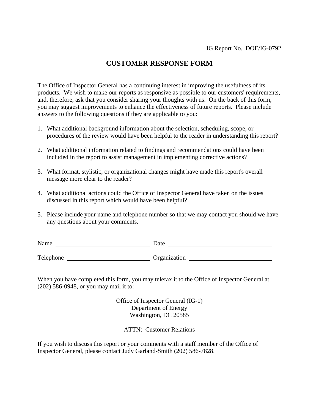# **CUSTOMER RESPONSE FORM**

The Office of Inspector General has a continuing interest in improving the usefulness of its products. We wish to make our reports as responsive as possible to our customers' requirements, and, therefore, ask that you consider sharing your thoughts with us. On the back of this form, you may suggest improvements to enhance the effectiveness of future reports. Please include answers to the following questions if they are applicable to you:

- 1. What additional background information about the selection, scheduling, scope, or procedures of the review would have been helpful to the reader in understanding this report?
- 2. What additional information related to findings and recommendations could have been included in the report to assist management in implementing corrective actions?
- 3. What format, stylistic, or organizational changes might have made this report's overall message more clear to the reader?
- 4. What additional actions could the Office of Inspector General have taken on the issues discussed in this report which would have been helpful?
- 5. Please include your name and telephone number so that we may contact you should we have any questions about your comments.

| Name      | Date         |
|-----------|--------------|
|           |              |
| Telephone | Organization |

When you have completed this form, you may telefax it to the Office of Inspector General at (202) 586-0948, or you may mail it to:

> Office of Inspector General (IG-1) Department of Energy Washington, DC 20585

ATTN: Customer Relations

If you wish to discuss this report or your comments with a staff member of the Office of Inspector General, please contact Judy Garland-Smith (202) 586-7828.